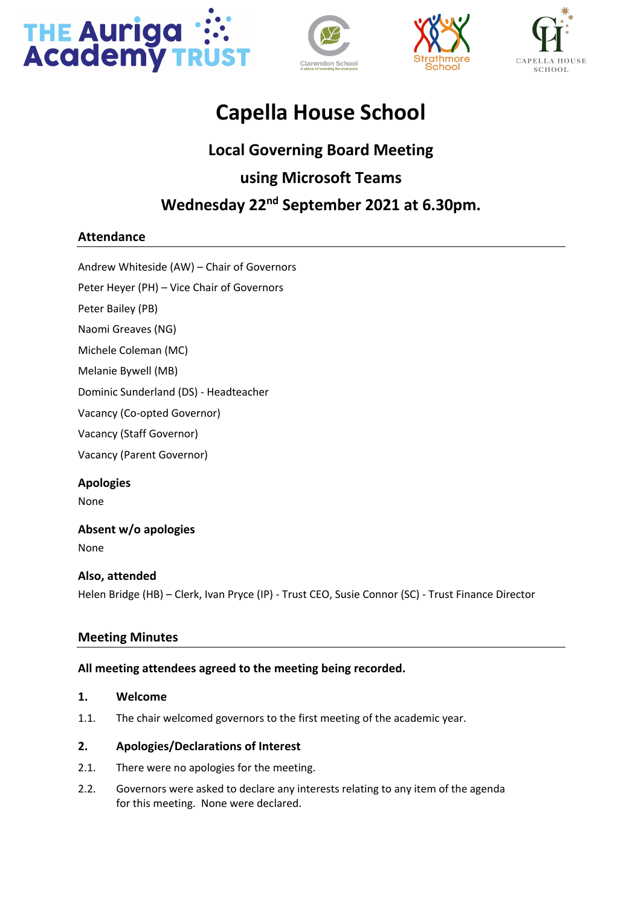







# **Capella House School**

# **Local Governing Board Meeting using Microsoft Teams Wednesday 22nd September 2021 at 6.30pm.**

# **Attendance**

Andrew Whiteside (AW) – Chair of Governors

Peter Heyer (PH) – Vice Chair of Governors

Peter Bailey (PB)

Naomi Greaves (NG)

Michele Coleman (MC)

Melanie Bywell (MB)

Dominic Sunderland (DS) - Headteacher

Vacancy (Co-opted Governor)

Vacancy (Staff Governor)

Vacancy (Parent Governor)

**Apologies** None

# **Absent w/o apologies**

None

# **Also, attended** Helen Bridge (HB) – Clerk, Ivan Pryce (IP) - Trust CEO, Susie Connor (SC) - Trust Finance Director

# **Meeting Minutes**

# **All meeting attendees agreed to the meeting being recorded.**

# **1. Welcome**

1.1. The chair welcomed governors to the first meeting of the academic year.

# **2. Apologies/Declarations of Interest**

- 2.1. There were no apologies for the meeting.
- 2.2. Governors were asked to declare any interests relating to any item of the agenda for this meeting. None were declared.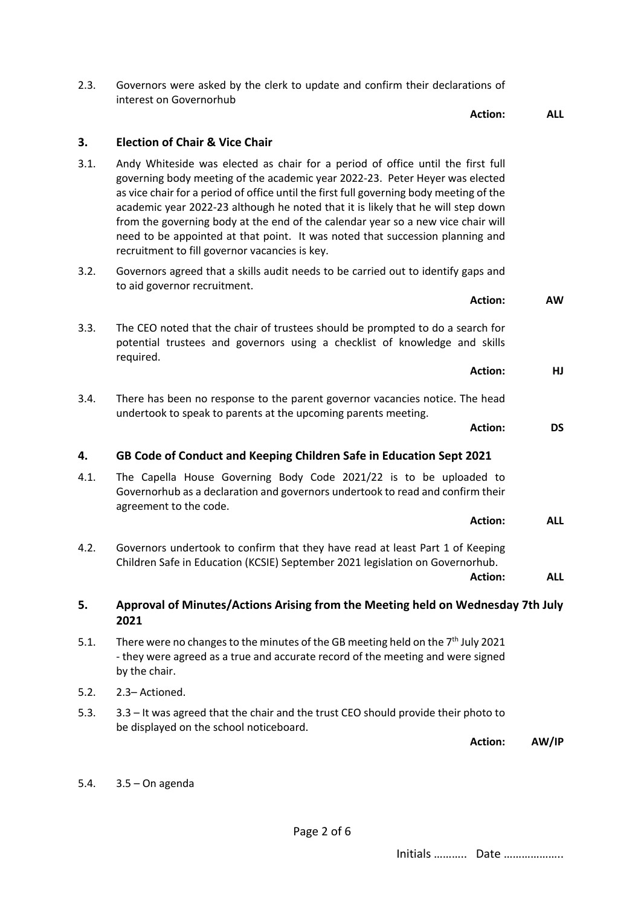| 4.2. | Governors undertook to confirm that they have read at least Part 1 of Keeping<br>Children Safe in Education (KCSIE) September 2021 legislation on Governorhub.<br>Action:                        | <b>ALL</b> |
|------|--------------------------------------------------------------------------------------------------------------------------------------------------------------------------------------------------|------------|
|      |                                                                                                                                                                                                  |            |
| 5.   | Approval of Minutes/Actions Arising from the Meeting held on Wednesday 7th July<br>2021                                                                                                          |            |
| 5.1. | There were no changes to the minutes of the GB meeting held on the 7 <sup>th</sup> July 2021<br>- they were agreed as a true and accurate record of the meeting and were signed<br>by the chair. |            |
| 5.2. | 2.3- Actioned.                                                                                                                                                                                   |            |
| 5.3. | 3.3 – It was agreed that the chair and the trust CEO should provide their photo to<br>be displayed on the school noticeboard.                                                                    |            |
|      | <b>Action:</b>                                                                                                                                                                                   | AW/IP      |
| 5.4. | $3.5 - On$ agenda                                                                                                                                                                                |            |

- 3.3. The CEO noted that the chair of trustees should be prompted to do a search for potential trustees and governors using a checklist of knowledge and skills required.
- 3.4. There has been no response to the parent governor vacancies notice. The head
- undertook to speak to parents at the upcoming parents meeting.
- 

**4. GB Code of Conduct and Keeping Children Safe in Education Sept 2021**

4.1. The Capella House Governing Body Code 2021/22 is to be uploaded to

- 
- 

3.2. Governors agreed that a skills audit needs to be carried out to identify gaps and

**3. Election of Chair & Vice Chair** 3.1. Andy Whiteside was elected as chair for a period of office until the first full

recruitment to fill governor vacancies is key.

to aid governor recruitment.

governing body meeting of the academic year 2022-23. Peter Heyer was elected as vice chair for a period of office until the first full governing body meeting of the academic year 2022-23 although he noted that it is likely that he will step down from the governing body at the end of the calendar year so a new vice chair will need to be appointed at that point. It was noted that succession planning and

2.3. Governors were asked by the clerk to update and confirm their declarations of interest on Governorhub

**Action: ALL**

**Action: AW**

# **Action: HJ**

**Action: DS**

Governorhub as a declaration and governors undertook to read and confirm their

**Action: ALL**

Initials ……….. Date ………………..

Page 2 of 6

- 
- -
- by the chair.

agreement to the code.

- 5.2.  $2$ 
	-
	-
	-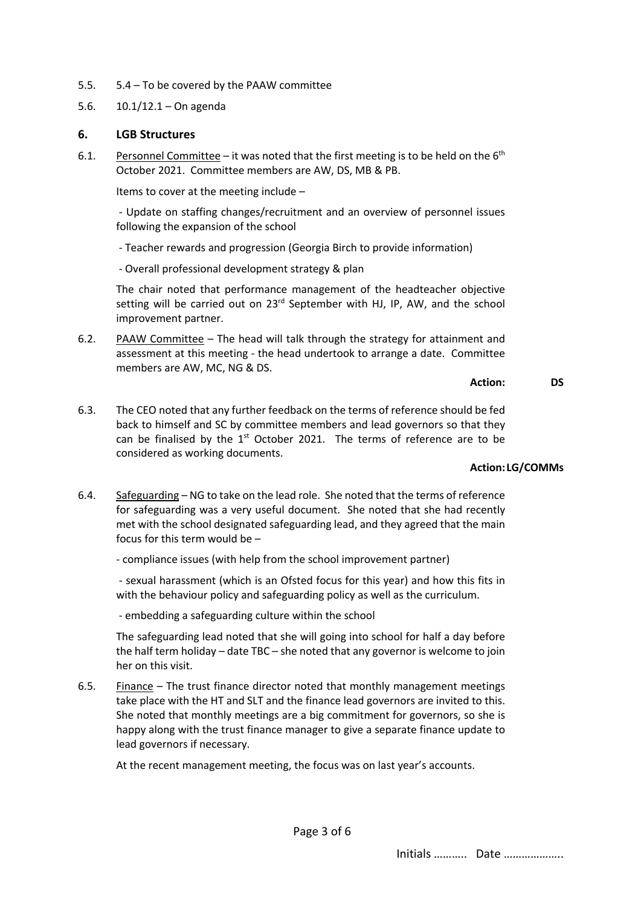- 5.5. 5.4 To be covered by the PAAW committee
- 5.6. 10.1/12.1 On agenda

#### **6. LGB Structures**

6.1. Personnel Committee – it was noted that the first meeting is to be held on the  $6<sup>th</sup>$ October 2021. Committee members are AW, DS, MB & PB.

Items to cover at the meeting include –

- Update on staffing changes/recruitment and an overview of personnel issues following the expansion of the school

- Teacher rewards and progression (Georgia Birch to provide information)

- Overall professional development strategy & plan

The chair noted that performance management of the headteacher objective setting will be carried out on  $23^{rd}$  September with HJ, IP, AW, and the school improvement partner.

6.2. PAAW Committee – The head will talk through the strategy for attainment and assessment at this meeting - the head undertook to arrange a date. Committee members are AW, MC, NG & DS.

#### **Action: DS**

6.3. The CEO noted that any further feedback on the terms of reference should be fed back to himself and SC by committee members and lead governors so that they can be finalised by the  $1<sup>st</sup>$  October 2021. The terms of reference are to be considered as working documents.

#### **Action:LG/COMMs**

6.4. Safeguarding – NG to take on the lead role. She noted that the terms of reference for safeguarding was a very useful document. She noted that she had recently met with the school designated safeguarding lead, and they agreed that the main focus for this term would be –

- compliance issues (with help from the school improvement partner)

- sexual harassment (which is an Ofsted focus for this year) and how this fits in with the behaviour policy and safeguarding policy as well as the curriculum.

- embedding a safeguarding culture within the school

The safeguarding lead noted that she will going into school for half a day before the half term holiday – date TBC – she noted that any governor is welcome to join her on this visit.

6.5. Finance – The trust finance director noted that monthly management meetings take place with the HT and SLT and the finance lead governors are invited to this. She noted that monthly meetings are a big commitment for governors, so she is happy along with the trust finance manager to give a separate finance update to lead governors if necessary.

At the recent management meeting, the focus was on last year's accounts.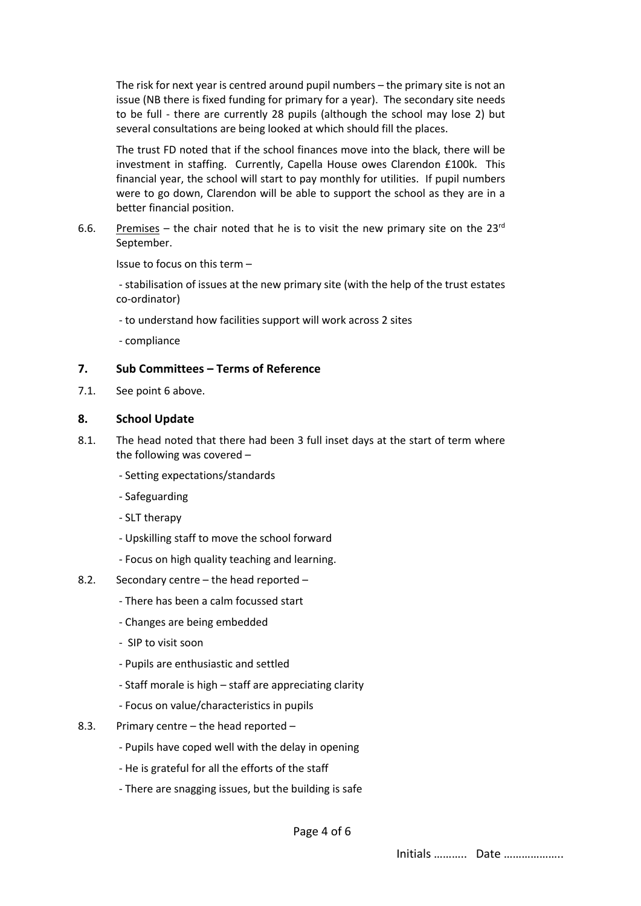The risk for next year is centred around pupil numbers – the primary site is not an issue (NB there is fixed funding for primary for a year). The secondary site needs to be full - there are currently 28 pupils (although the school may lose 2) but several consultations are being looked at which should fill the places.

The trust FD noted that if the school finances move into the black, there will be investment in staffing. Currently, Capella House owes Clarendon £100k. This financial year, the school will start to pay monthly for utilities. If pupil numbers were to go down, Clarendon will be able to support the school as they are in a better financial position.

6.6. Premises – the chair noted that he is to visit the new primary site on the  $23<sup>rd</sup>$ September.

Issue to focus on this term –

- stabilisation of issues at the new primary site (with the help of the trust estates co-ordinator)

- to understand how facilities support will work across 2 sites
- compliance

### **7. Sub Committees – Terms of Reference**

7.1. See point 6 above.

# **8. School Update**

- 8.1. The head noted that there had been 3 full inset days at the start of term where the following was covered –
	- Setting expectations/standards
	- Safeguarding
	- SLT therapy
	- Upskilling staff to move the school forward
	- Focus on high quality teaching and learning.
- 8.2. Secondary centre the head reported
	- There has been a calm focussed start
	- Changes are being embedded
	- SIP to visit soon
	- Pupils are enthusiastic and settled
	- Staff morale is high staff are appreciating clarity
	- Focus on value/characteristics in pupils
- 8.3. Primary centre the head reported
	- Pupils have coped well with the delay in opening
	- He is grateful for all the efforts of the staff
	- There are snagging issues, but the building is safe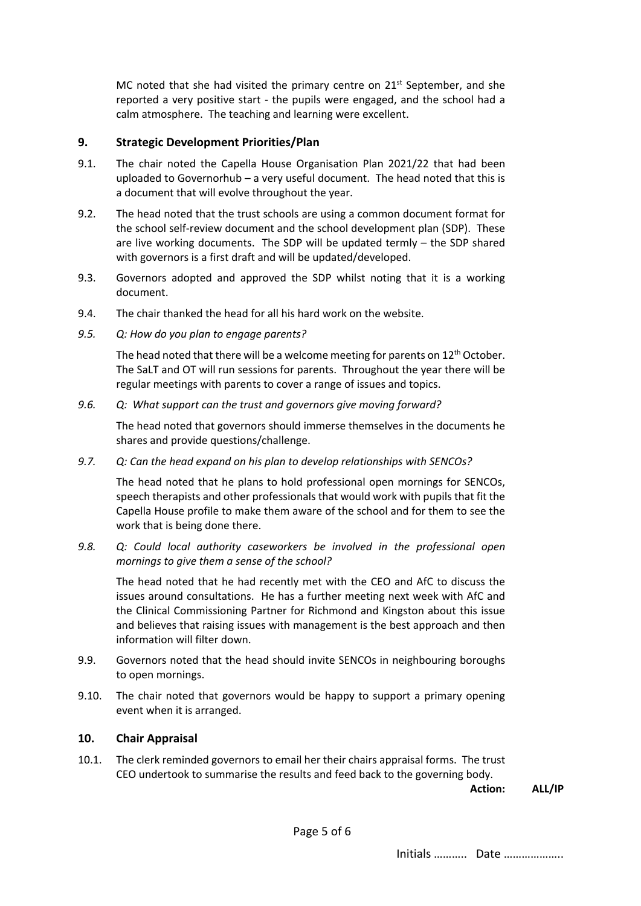MC noted that she had visited the primary centre on  $21<sup>st</sup>$  September, and she reported a very positive start - the pupils were engaged, and the school had a calm atmosphere. The teaching and learning were excellent.

# **9. Strategic Development Priorities/Plan**

- 9.1. The chair noted the Capella House Organisation Plan 2021/22 that had been uploaded to Governorhub – a very useful document. The head noted that this is a document that will evolve throughout the year.
- 9.2. The head noted that the trust schools are using a common document format for the school self-review document and the school development plan (SDP). These are live working documents. The SDP will be updated termly – the SDP shared with governors is a first draft and will be updated/developed.
- 9.3. Governors adopted and approved the SDP whilst noting that it is a working document.
- 9.4. The chair thanked the head for all his hard work on the website.
- *9.5. Q: How do you plan to engage parents?*

The head noted that there will be a welcome meeting for parents on  $12<sup>th</sup>$  October. The SaLT and OT will run sessions for parents. Throughout the year there will be regular meetings with parents to cover a range of issues and topics.

*9.6. Q: What support can the trust and governors give moving forward?*

The head noted that governors should immerse themselves in the documents he shares and provide questions/challenge.

*9.7. Q: Can the head expand on his plan to develop relationships with SENCOs?*

The head noted that he plans to hold professional open mornings for SENCOs, speech therapists and other professionals that would work with pupils that fit the Capella House profile to make them aware of the school and for them to see the work that is being done there.

*9.8. Q: Could local authority caseworkers be involved in the professional open mornings to give them a sense of the school?*

The head noted that he had recently met with the CEO and AfC to discuss the issues around consultations. He has a further meeting next week with AfC and the Clinical Commissioning Partner for Richmond and Kingston about this issue and believes that raising issues with management is the best approach and then information will filter down.

- 9.9. Governors noted that the head should invite SENCOs in neighbouring boroughs to open mornings.
- 9.10. The chair noted that governors would be happy to support a primary opening event when it is arranged.

# **10. Chair Appraisal**

10.1. The clerk reminded governors to email her their chairs appraisal forms. The trust CEO undertook to summarise the results and feed back to the governing body.

**Action: ALL/IP**

Initials ……….. Date ………………..